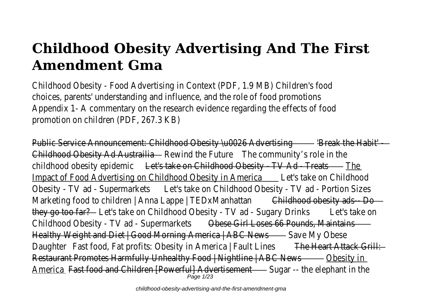## **Childhood Obesity Advertising And The First Amendment Gma**

Childhood Obesity - Food Advertising in Context (PDF, 1.9 MB) Children's choices, parents' understanding and influence, and the role of food promot Appendix 1- A commentary on the research evidence regarding the effects of promotion on children (PDF, 267.3 K

Public Service Announcement: Childhood Obesity \u0026 Advertising the Habit' Childhood Obesity Ad Austrail Rewind the Future the community's role in the childhood obesity epidemiet's take on Childhood Obesity - TV Ad - Treates Impact of Food Advertising on Childhood Obesity in America take on Childhoo Obesity - TV ad - Supermarket at's take on Childhood Obesity - TV ad - Portion Si Marketing food to children | Anna Lappe | TEDxManhatilathood obesity ads-- Dollar Childhood obesity adsthey go too fatet's take on Childhood Obesity - TV ad - Sugary Drinks take on Childhood Obesity - TV ad - Supermarketsese Girl Loses 66 Pounds, Maintains Healthy Weight and Diet | Good Morning America | ABC Naves My Obese Daughter Fast food, Fat profits: Obesity in America | Fault Line steart Attack Grill Restaurant Promotes Harmfully Unhealthy Food | Nightline | ABC Obesity in America Fast food and Children [Powerful] Advertiser Sugar -- the elephant in the Page 1/23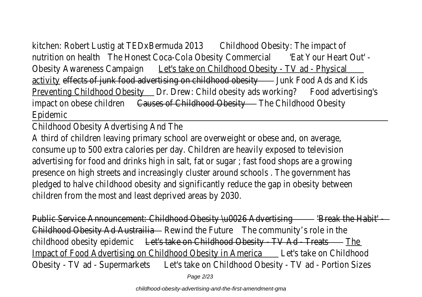kitchen: Robert Lustig at TEDxBermuda 200hildhood Obesity: The impact of nutrition on healthe Honest Coca-Cola Obesity Commerciant Your Heart Out' Obesity Awareness Campaidnet's take on Childhood Obesity - TV ad - Physical activitveffects of junk food advertising on childhood obesity ood Ads and Kid Preventing Childhood Obesitor. Drew: Child obesity ads workinford advertising's impact on obese childrenuses of Childhood Obesittyne Childhood Obesit Epidemic

Childhood Obesity Advertising And T

A third of children leaving primary school are overweight or obese and, on ave consume up to 500 extra calories per day. Children are heavily exposed to televisions advertising for food and drinks high in salt, fat or sugar; fast food shops are a grow presence on high streets and increasingly cluster around schools. The governmer pledged to halve childhood obesity and significantly reduce the gap in obesity bet children from the most and least deprived areas by 20

Public Service Announcement: Childhood Obesity \u0026 Advertising the Habit' Childhood Obesity Ad Austrail Rewind the Future the community's role in the childhood obesity epidemiet's take on Childhood Obesity - TV Ad - Treats Impact of Food Advertising on Childhood Obesity in America take on Childhoo Obesity - TV ad - Supermarkettst's take on Childhood Obesity - TV ad - Portion Si

Page 2/23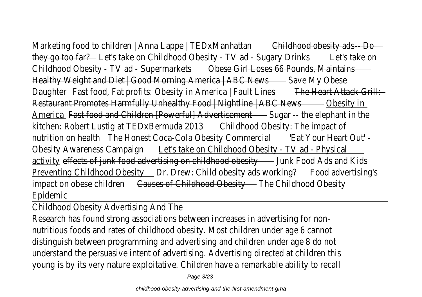Marketing food to children | Anna Lappe | TEDxManhatilathood obesity ads-- Do they go too fatet's take on Childhood Obesity - TV ad - Sugary Drinks take on Childhood Obesity - TV ad - Supermarketsese Girl Loses 66 Pounds, Maintain Healthy Weight and Diet | Good Morning America | ABC NavesMy Obes Daughter Fast food, Fat profits: Obesity in America | Fault Line seart Attack Grill: Restaurant Promotes Harmfully Unhealthy Food | Nightline | ABC Obesity in America Fast food and Children [Powerful] Advertisement -- the elephant in the kitchen: Robert Lustig at TEDxBermuda 20 hildhood Obesity: The impact nutrition on healthe Honest Coca-Cola Obesity Commerclat Your Heart Out' Obesity Awareness Campaidnet's take on Childhood Obesity - TV ad - Physical activity effects of junk food advertising on childhood obesity ood Ads and Kid Preventing Childhood Obesitor. Drew: Child obesity ads working advertising's

impact on obese childrenuses of Childhood Obesittyne Childhood Obesit Epidemic

Childhood Obesity Advertising And T

Research has found strong associations between increases in advertising for nutritious foods and rates of childhood obesity. Most children under age 6 can distinguish between programming and advertising and children under age 8 degrees understand the persuasive intent of advertising. Advertising directed at children young is by its very nature exploitative. Children have a remarkable ability to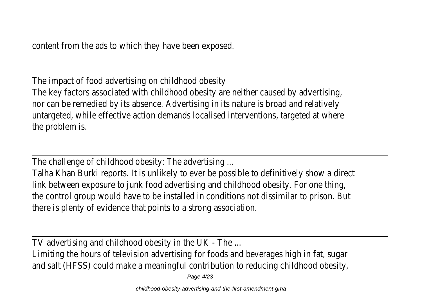The impact of food advertising on childhood obest The key factors associated with childhood obesity are neither caused by advert nor can be remedied by its absence. Advertising in its nature is broad and relatively untargeted, while effective action demands localised interventions, targeted at v the problem is.

The challenge of childhood obesity: The advertisine

Talha Khan Burki reports. It is unlikely to ever be possible to definitively show a link between exposure to junk food advertising and childhood obesity. For one the control group would have to be installed in conditions not dissimilar to prisor there is plenty of evidence that points to a strong association.

TV advertising and childhood obesity in the UK - The

Limiting the hours of television advertising for foods and beverages high in fat, and salt (HFSS) could make a meaningful contribution to reducing childhood ob

Page 4/23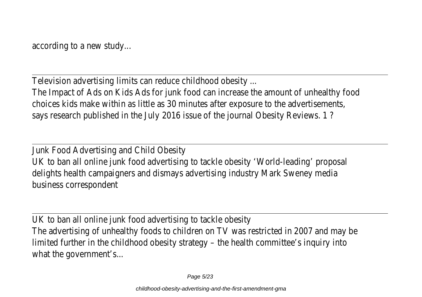Television advertising limits can reduce childhood obesity

The Impact of Ads on Kids Ads for junk food can increase the amount of unhealthy choices kids make within as little as 30 minutes after exposure to the advertisem says research published in the July 2016 issue of the journal Obesity Review

Junk Food Advertising and Child Obes UK to ban all online junk food advertising to tackle obesity 'World-leading' pro delights health campaigners and dismays advertising industry Mark Sweney r business corresponder

UK to ban all online junk food advertising to tackle obe The advertising of unhealthy foods to children on TV was restricted in 2007 and m limited further in the childhood obesity strategy – the health committee's inquiry what the government's.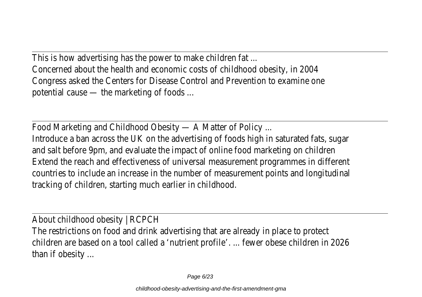This is how advertising has the power to make children fate Concerned about the health and economic costs of childhood obesity, in 2 Congress asked the Centers for Disease Control and Prevention to examine potential cause  $-$  the marketing of foods

Food Marketing and Childhood Obesity - A Matter of Polic Introduce a ban across the UK on the advertising of foods high in saturated fats, and salt before 9pm, and evaluate the impact of online food marketing on cheap Extend the reach and effectiveness of universal measurement programmes in diff countries to include an increase in the number of measurement points and longited tracking of children, starting much earlier in childhood.

About childhood obesity | RCPC The restrictions on food and drink advertising that are already in place to protect children are based on a tool called a 'nutrient profile'. ... fewer obese children in than if obesity.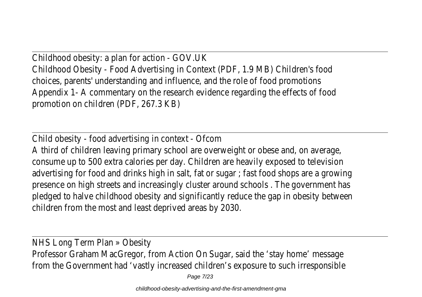Childhood obesity: a plan for action - GOV. Childhood Obesity - Food Advertising in Context (PDF, 1.9 MB) Children's choices, parents' understanding and influence, and the role of food promot Appendix 1- A commentary on the research evidence regarding the effects of promotion on children (PDF, 267.3 K

Child obesity - food advertising in context - Ofcom A third of children leaving primary school are overweight or obese and, on ave consume up to 500 extra calories per day. Children are heavily exposed to teler advertising for food and drinks high in salt, fat or sugar; fast food shops are a growing presence on high streets and increasingly cluster around schools. The governmer pledged to halve childhood obesity and significantly reduce the gap in obesity bet children from the most and least deprived areas by 20

NHS Long Term Plan » Obesit Professor Graham MacGregor, from Action On Sugar, said the 'stay home' mest from the Government had 'vastly increased children's exposure to such irrespore

Page 7/23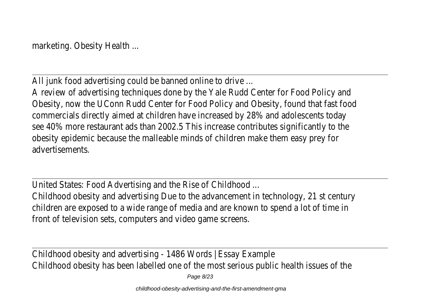marketing. Obesity Health

All junk food advertising could be banned online to driv

A review of advertising techniques done by the Yale Rudd Center for Food Polic Obesity, now the UConn Rudd Center for Food Policy and Obesity, found that fast commercials directly aimed at children have increased by 28% and adolescents see 40% more restaurant ads than 2002.5 This increase contributes significantly to obesity epidemic because the malleable minds of children make them easy pre advertisements.

United States: Food Advertising and the Rise of Childhood

Childhood obesity and advertising Due to the advancement in technology, 21 st ce children are exposed to a wide range of media and are known to spend a lot of ti front of television sets, computers and video game screent

Childhood obesity and advertising - 1486 Words | Essay Exar Childhood obesity has been labelled one of the most serious public health issues of

Page 8/23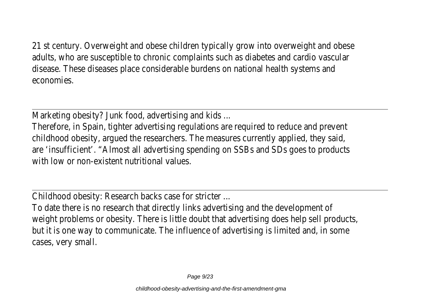21 st century. Overweight and obese children typically grow into overweight and adults, who are susceptible to chronic complaints such as diabetes and cardio vas disease. These diseases place considerable burdens on national health system economies.

Marketing obesity? Junk food, advertising and kid

Therefore, in Spain, tighter advertising regulations are required to reduce and pre childhood obesity, argued the researchers. The measures currently applied, they are 'insufficient'. "Almost all advertising spending on SSBs and SDs goes to products with low or non-existent nutritional value

Childhood obesity: Research backs case for stricte

To date there is no research that directly links advertising and the developme weight problems or obesity. There is little doubt that advertising does help sell products, we are that an extending that but it is one way to communicate. The influence of advertising is limited and, in cases, very small.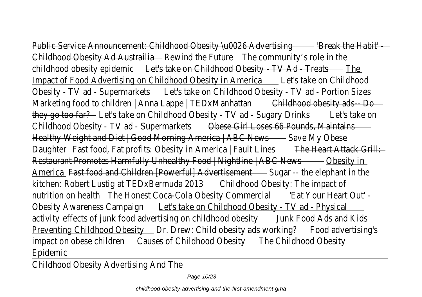Public Service Announcement: Childhood Obesity \u0026 Advertising the Habit' Childhood Obesity Ad AustrailRewind the Futurehe community's role in the childhood obesity epidemiet's take on Childhood Obesity - TV Ad - Treates Impact of Food Advertising on Childhood Obesity in America take on Childhoo Obesity - TV ad - Supermarket at's take on Childhood Obesity - TV ad - Portion Si Marketing food to children | Anna Lappe | TEDxManhatitathood obesity ads-- Do they go too fatet's take on Childhood Obesity - TV ad - Sugary Drinks take on Childhood Obesity - TV ad - Supermarketsese Girl Loses 66 Pounds, Maintain Healthy Weight and Diet | Good Morning America | ABC Naves My Obese Daughter Fast food, Fat profits: Obesity in America | Fault Line steart Attack Grill: Restaurant Promotes Harmfully Unhealthy Food | Nightline | ABC Obesity in America Fast food and Children [Powerful] Advertisement -- the elephant in the kitchen: Robert Lustig at TEDxBermuda 20thildhood Obesity: The impact nutrition on healthe Honest Coca-Cola Obesity Commerclet Your Heart Out' Obesity Awareness Campaighet's take on Childhood Obesity - TV ad - Physical activitveffects of junk food advertising on childhood obesity ood Ads and Kid Preventing Childhood Obesitor. Drew: Child obesity ads workinford advertising's impact on obese childrenuses of Childhood Obesittyne Childhood Obesit Epidemic

Childhood Obesity Advertising And T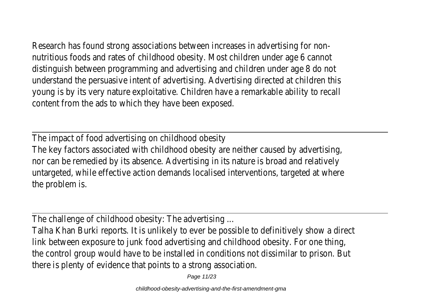Research has found strong associations between increases in advertising for nutritious foods and rates of childhood obesity. Most children under age 6 can distinguish between programming and advertising and children under age 8 degrees of understand the persuasive intent of advertising. Advertising directed at children young is by its very nature exploitative. Children have a remarkable ability to content from the ads to which they have been expose

The impact of food advertising on childhood obest The key factors associated with childhood obesity are neither caused by advert nor can be remedied by its absence. Advertising in its nature is broad and relatively untargeted, while effective action demands localised interventions, targeted at v the problem is.

The challenge of childhood obesity: The advertising

Talha Khan Burki reports. It is unlikely to ever be possible to definitively show a link between exposure to junk food advertising and childhood obesity. For one the control group would have to be installed in conditions not dissimilar to prisor there is plenty of evidence that points to a strong association.

Page 11/23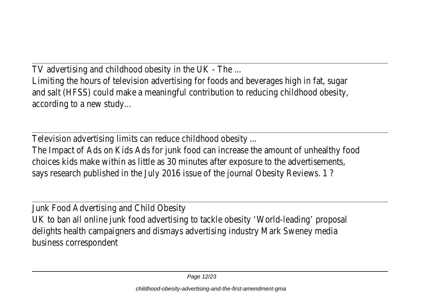TV advertising and childhood obesity in the UK - The

Limiting the hours of television advertising for foods and beverages high in fat, and salt (HFSS) could make a meaningful contribution to reducing childhood ob according to a new study

Television advertising limits can reduce childhood obesity

The Impact of Ads on Kids Ads for junk food can increase the amount of unhealthy choices kids make within as little as 30 minutes after exposure to the advertisem says research published in the July 2016 issue of the journal Obesity Review

Junk Food Advertising and Child Obes UK to ban all online junk food advertising to tackle obesity 'World-leading' pro delights health campaigners and dismays advertising industry Mark Sweney r business corresponder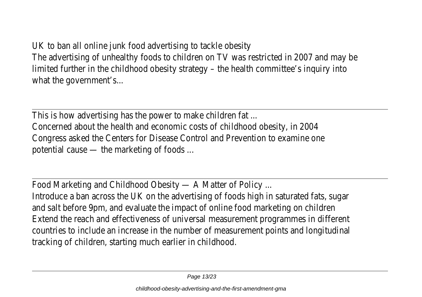UK to ban all online junk food advertising to tackle obe The advertising of unhealthy foods to children on TV was restricted in 2007 and m limited further in the childhood obesity strategy – the health committee's inquiry what the government's

This is how advertising has the power to make children fate Concerned about the health and economic costs of childhood obesity, in 2 Congress asked the Centers for Disease Control and Prevention to examine potential cause  $-$  the marketing of foods

Food Marketing and Childhood Obesity - A Matter of Polic

Introduce a ban across the UK on the advertising of foods high in saturated fats, and salt before 9pm, and evaluate the impact of online food marketing on ch Extend the reach and effectiveness of universal measurement programmes in diff countries to include an increase in the number of measurement points and longit tracking of children, starting much earlier in childhood.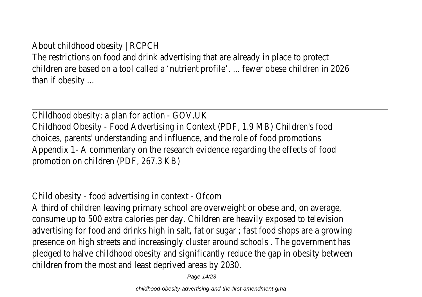## About childhood obesity | RCPC

The restrictions on food and drink advertising that are already in place to protect children are based on a tool called a 'nutrient profile'. ... fewer obese children in than if obesity.

Childhood obesity: a plan for action - GOV. Childhood Obesity - Food Advertising in Context (PDF, 1.9 MB) Children's choices, parents' understanding and influence, and the role of food promot Appendix 1- A commentary on the research evidence regarding the effects of promotion on children (PDF, 267.3 K

Child obesity - food advertising in context - Ofc

A third of children leaving primary school are overweight or obese and, on ave consume up to 500 extra calories per day. Children are heavily exposed to teler advertising for food and drinks high in salt, fat or sugar; fast food shops are a grow presence on high streets and increasingly cluster around schools. The governmer pledged to halve childhood obesity and significantly reduce the gap in obesity bet children from the most and least deprived areas by 20

Page 14/23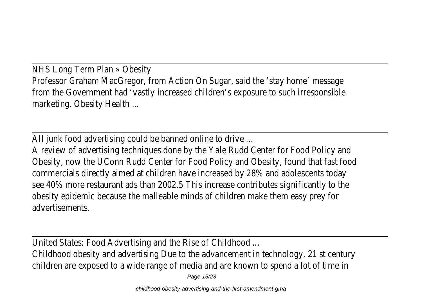NHS Long Term Plan » Obesit Professor Graham MacGregor, from Action On Sugar, said the 'stay home' mest from the Government had 'vastly increased children's exposure to such irresport marketing. Obesity Health

All junk food advertising could be banned online to drive

A review of advertising techniques done by the Yale Rudd Center for Food Polic Obesity, now the UConn Rudd Center for Food Policy and Obesity, found that fast commercials directly aimed at children have increased by 28% and adolescents see 40% more restaurant ads than 2002.5 This increase contributes significantly to obesity epidemic because the malleable minds of children make them easy pre advertisements.

United States: Food Advertising and the Rise of Childhoc

Childhood obesity and advertising Due to the advancement in technology, 21 st ce children are exposed to a wide range of media and are known to spend a lot of ti

Page 15/23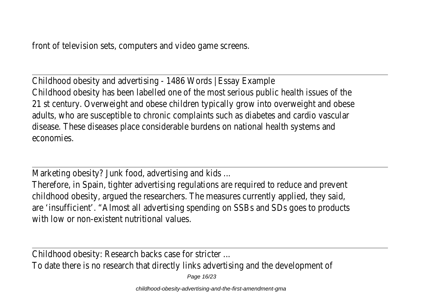Childhood obesity and advertising - 1486 Words | Essay Exar Childhood obesity has been labelled one of the most serious public health issues of 21 st century. Overweight and obese children typically grow into overweight and adults, who are susceptible to chronic complaints such as diabetes and cardio vas disease. These diseases place considerable burdens on national health system economies.

Marketing obesity? Junk food, advertising and kid

Therefore, in Spain, tighter advertising regulations are required to reduce and pre childhood obesity, argued the researchers. The measures currently applied, they are 'insufficient'. "Almost all advertising spending on SSBs and SDs goes to prod with low or non-existent nutritional values

Childhood obesity: Research backs case for stricte

To date there is no research that directly links advertising and the developme

Page 16/23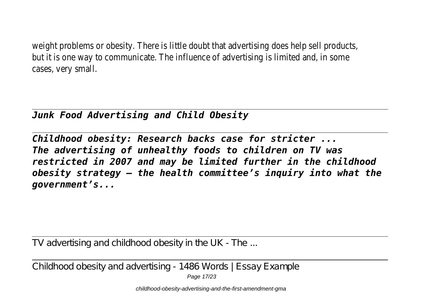weight problems or obesity. There is little doubt that advertising does help sell products, we are that an inter but it is one way to communicate. The influence of advertising is limited and, in cases, very small.

## *Junk Food Advertising and Child Obesity*

*Childhood obesity: Research backs case for stricter ... The advertising of unhealthy foods to children on TV was restricted in 2007 and may be limited further in the childhood obesity strategy – the health committee's inquiry into what the government's...*

TV advertising and childhood obesity in the UK - The ...

Childhood obesity and advertising - 1486 Words | Essay Example

Page 17/23

childhood-obesity-advertising-and-the-first-amendment-gma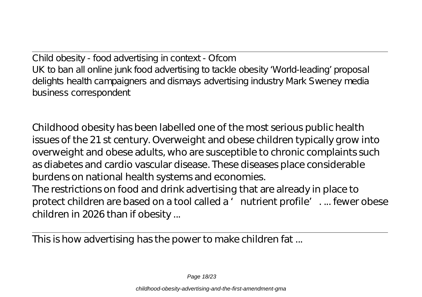Child obesity - food advertising in context - Ofcom UK to ban all online junk food advertising to tackle obesity ' World-leading' proposal delights health campaigners and dismays advertising industry Mark Sweney media business correspondent

Childhood obesity has been labelled one of the most serious public health issues of the 21 st century. Overweight and obese children typically grow into overweight and obese adults, who are susceptible to chronic complaints such as diabetes and cardio vascular disease. These diseases place considerable burdens on national health systems and economies.

The restrictions on food and drink advertising that are already in place to protect children are based on a tool called a 'nutrient profile'... fewer obese children in 2026 than if obesity ...

This is how advertising has the power to make children fat ...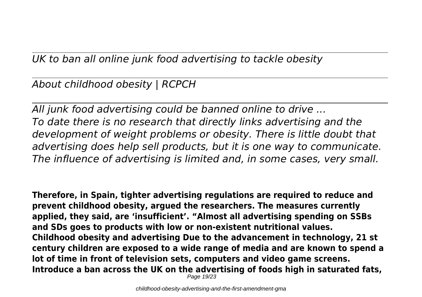*UK to ban all online junk food advertising to tackle obesity*

*About childhood obesity | RCPCH*

*All junk food advertising could be banned online to drive ... To date there is no research that directly links advertising and the development of weight problems or obesity. There is little doubt that advertising does help sell products, but it is one way to communicate. The influence of advertising is limited and, in some cases, very small.*

**Therefore, in Spain, tighter advertising regulations are required to reduce and prevent childhood obesity, argued the researchers. The measures currently applied, they said, are 'insufficient'. "Almost all advertising spending on SSBs and SDs goes to products with low or non-existent nutritional values. Childhood obesity and advertising Due to the advancement in technology, 21 st century children are exposed to a wide range of media and are known to spend a lot of time in front of television sets, computers and video game screens. Introduce a ban across the UK on the advertising of foods high in saturated fats,** Page 19/23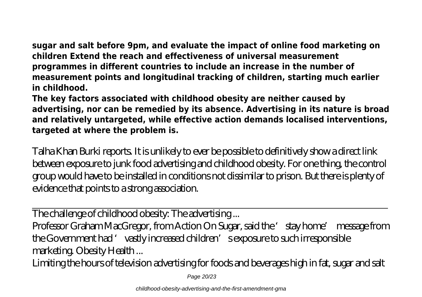**sugar and salt before 9pm, and evaluate the impact of online food marketing on children Extend the reach and effectiveness of universal measurement programmes in different countries to include an increase in the number of measurement points and longitudinal tracking of children, starting much earlier in childhood.**

**The key factors associated with childhood obesity are neither caused by advertising, nor can be remedied by its absence. Advertising in its nature is broad and relatively untargeted, while effective action demands localised interventions, targeted at where the problem is.**

Talha Khan Burki reports. It is unlikely to ever be possible to definitively show a direct link between exposure to junk food advertising and childhood obesity. For one thing, the control group would have to be installed in conditions not dissimilar to prison. But there is plenty of evidence that points to a strong association.

The challenge of childhood obesity: The advertising ...

Professor Graham MacGregor, from Action On Sugar, said the 'stay home' message from the Government had 'vastly increased children's exposure to such irresponsible marketing. Obesity Health ...

Limiting the hours of television advertising for foods and beverages high in fat, sugar and salt

Page 20/23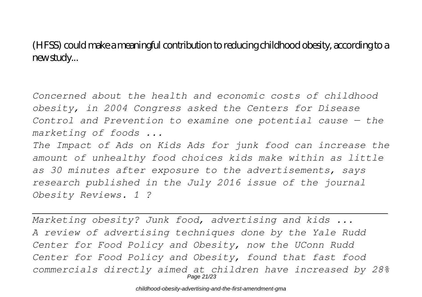(HFSS) could make a meaningful contribution to reducing childhood obesity, according to a new study...

*Concerned about the health and economic costs of childhood obesity, in 2004 Congress asked the Centers for Disease Control and Prevention to examine one potential cause — the marketing of foods ...*

*The Impact of Ads on Kids Ads for junk food can increase the amount of unhealthy food choices kids make within as little as 30 minutes after exposure to the advertisements, says research published in the July 2016 issue of the journal Obesity Reviews. 1 ?*

*Marketing obesity? Junk food, advertising and kids ... A review of advertising techniques done by the Yale Rudd Center for Food Policy and Obesity, now the UConn Rudd Center for Food Policy and Obesity, found that fast food commercials directly aimed at children have increased by 28%* Page 21/23

childhood-obesity-advertising-and-the-first-amendment-gma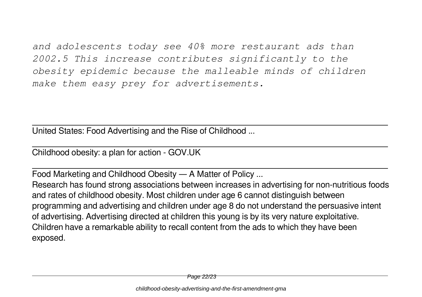*and adolescents today see 40% more restaurant ads than 2002.5 This increase contributes significantly to the obesity epidemic because the malleable minds of children make them easy prey for advertisements.*

United States: Food Advertising and the Rise of Childhood ...

Childhood obesity: a plan for action - GOV.UK

Food Marketing and Childhood Obesity — A Matter of Policy ...

Research has found strong associations between increases in advertising for non-nutritious foods and rates of childhood obesity. Most children under age 6 cannot distinguish between programming and advertising and children under age 8 do not understand the persuasive intent of advertising. Advertising directed at children this young is by its very nature exploitative. Children have a remarkable ability to recall content from the ads to which they have been exposed.